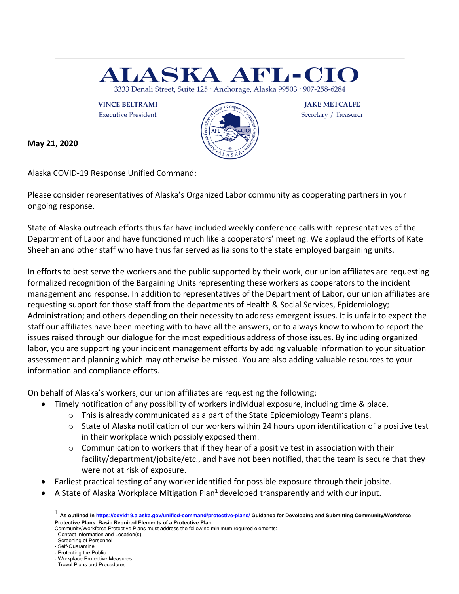

**Executive President** 



Secretary / Treasurer

**May 21, 2020**

Alaska COVID-19 Response Unified Command:

Please consider representatives of Alaska's Organized Labor community as cooperating partners in your ongoing response.

State of Alaska outreach efforts thus far have included weekly conference calls with representatives of the Department of Labor and have functioned much like a cooperators' meeting. We applaud the efforts of Kate Sheehan and other staff who have thus far served as liaisons to the state employed bargaining units.

In efforts to best serve the workers and the public supported by their work, our union affiliates are requesting formalized recognition of the Bargaining Units representing these workers as cooperators to the incident management and response. In addition to representatives of the Department of Labor, our union affiliates are requesting support for those staff from the departments of Health & Social Services, Epidemiology; Administration; and others depending on their necessity to address emergent issues. It is unfair to expect the staff our affiliates have been meeting with to have all the answers, or to always know to whom to report the issues raised through our dialogue for the most expeditious address of those issues. By including organized labor, you are supporting your incident management efforts by adding valuable information to your situation assessment and planning which may otherwise be missed. You are also adding valuable resources to your information and compliance efforts.

On behalf of Alaska's workers, our union affiliates are requesting the following:

- Timely notification of any possibility of workers individual exposure, including time & place.
	- $\circ$  This is already communicated as a part of the State Epidemiology Team's plans.
	- $\circ$  State of Alaska notification of our workers within 24 hours upon identification of a positive test in their workplace which possibly exposed them.
	- $\circ$  Communication to workers that if they hear of a positive test in association with their facility/department/jobsite/etc., and have not been notified, that the team is secure that they were not at risk of exposure.
- Earliest practical testing of any worker identified for possible exposure through their jobsite.
- A State of Alaska Workplace Mitigation Plan<sup>1</sup> developed transparently and with our input.

<sup>1</sup> **As outlined in https://covid19.alaska.gov/unified-command/protective-plans/ Guidance for Developing and Submitting Community/Workforce Protective Plans. Basic Required Elements of a Protective Plan:**

Community/Workforce Protective Plans must address the following minimum required elements:

<sup>-</sup> Contact Information and Location(s) - Screening of Personnel

<sup>-</sup> Self-Quarantine

<sup>-</sup> Protecting the Public

<sup>-</sup> Workplace Protective Measures

<sup>-</sup> Travel Plans and Procedures